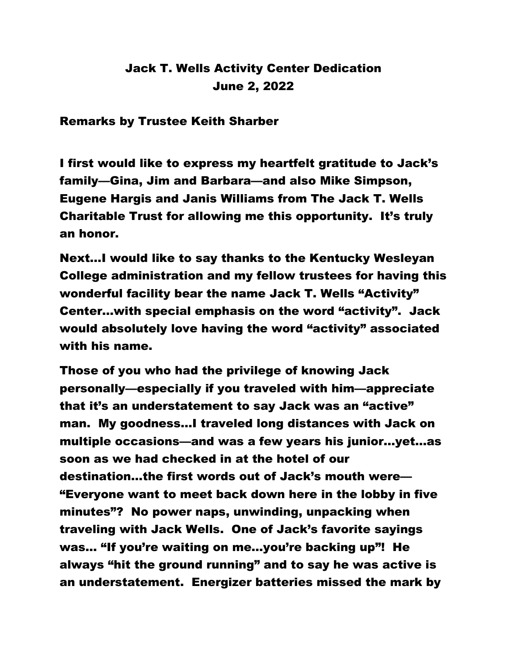## Jack T. Wells Activity Center Dedication June 2, 2022

Remarks by Trustee Keith Sharber

I first would like to express my heartfelt gratitude to Jack's family—Gina, Jim and Barbara—and also Mike Simpson, Eugene Hargis and Janis Williams from The Jack T. Wells Charitable Trust for allowing me this opportunity. It's truly an honor.

Next…I would like to say thanks to the Kentucky Wesleyan College administration and my fellow trustees for having this wonderful facility bear the name Jack T. Wells "Activity" Center…with special emphasis on the word "activity". Jack would absolutely love having the word "activity" associated with his name.

Those of you who had the privilege of knowing Jack personally—especially if you traveled with him—appreciate that it's an understatement to say Jack was an "active" man. My goodness…I traveled long distances with Jack on multiple occasions—and was a few years his junior…yet…as soon as we had checked in at the hotel of our destination…the first words out of Jack's mouth were— "Everyone want to meet back down here in the lobby in five minutes"? No power naps, unwinding, unpacking when traveling with Jack Wells. One of Jack's favorite sayings was… "If you're waiting on me…you're backing up"! He always "hit the ground running" and to say he was active is an understatement. Energizer batteries missed the mark by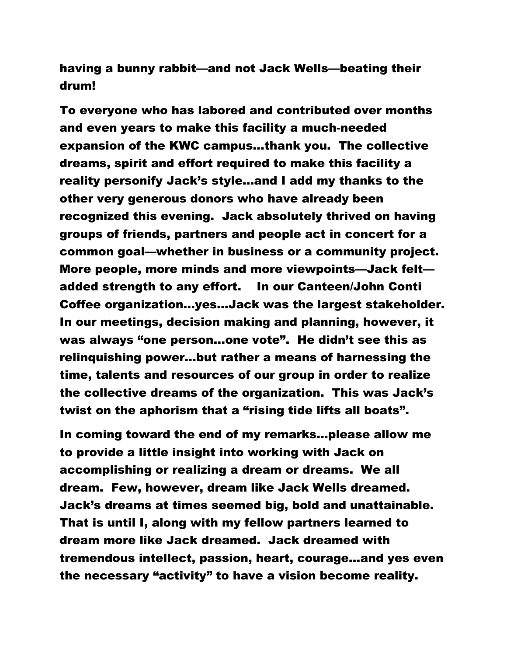having a bunny rabbit—and not Jack Wells—beating their drum!

To everyone who has labored and contributed over months and even years to make this facility a much-needed expansion of the KWC campus…thank you. The collective dreams, spirit and effort required to make this facility a reality personify Jack's style…and I add my thanks to the other very generous donors who have already been recognized this evening. Jack absolutely thrived on having groups of friends, partners and people act in concert for a common goal—whether in business or a community project. More people, more minds and more viewpoints—Jack felt added strength to any effort. In our Canteen/John Conti Coffee organization…yes…Jack was the largest stakeholder. In our meetings, decision making and planning, however, it was always "one person…one vote". He didn't see this as relinquishing power…but rather a means of harnessing the time, talents and resources of our group in order to realize the collective dreams of the organization. This was Jack's twist on the aphorism that a "rising tide lifts all boats".

In coming toward the end of my remarks…please allow me to provide a little insight into working with Jack on accomplishing or realizing a dream or dreams. We all dream. Few, however, dream like Jack Wells dreamed. Jack's dreams at times seemed big, bold and unattainable. That is until I, along with my fellow partners learned to dream more like Jack dreamed. Jack dreamed with tremendous intellect, passion, heart, courage…and yes even the necessary "activity" to have a vision become reality.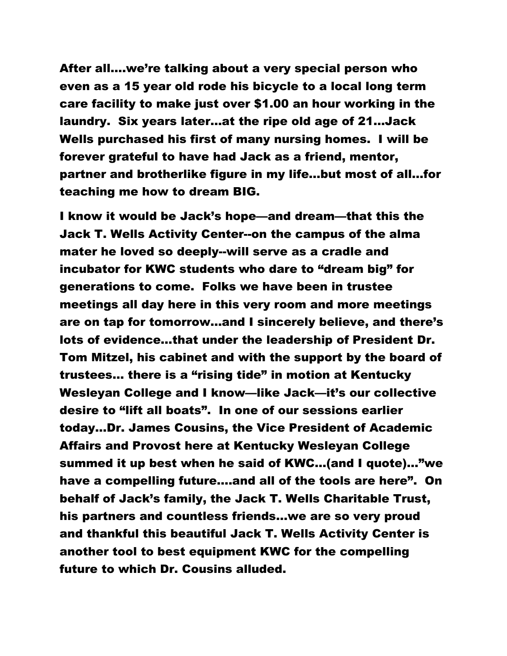After all….we're talking about a very special person who even as a 15 year old rode his bicycle to a local long term care facility to make just over \$1.00 an hour working in the laundry. Six years later…at the ripe old age of 21…Jack Wells purchased his first of many nursing homes. I will be forever grateful to have had Jack as a friend, mentor, partner and brotherlike figure in my life…but most of all…for teaching me how to dream BIG.

I know it would be Jack's hope—and dream—that this the Jack T. Wells Activity Center--on the campus of the alma mater he loved so deeply--will serve as a cradle and incubator for KWC students who dare to "dream big" for generations to come. Folks we have been in trustee meetings all day here in this very room and more meetings are on tap for tomorrow…and I sincerely believe, and there's lots of evidence…that under the leadership of President Dr. Tom Mitzel, his cabinet and with the support by the board of trustees… there is a "rising tide" in motion at Kentucky Wesleyan College and I know—like Jack—it's our collective desire to "lift all boats". In one of our sessions earlier today…Dr. James Cousins, the Vice President of Academic Affairs and Provost here at Kentucky Wesleyan College summed it up best when he said of KWC…(and I quote)…"we have a compelling future….and all of the tools are here". On behalf of Jack's family, the Jack T. Wells Charitable Trust, his partners and countless friends…we are so very proud and thankful this beautiful Jack T. Wells Activity Center is another tool to best equipment KWC for the compelling future to which Dr. Cousins alluded.